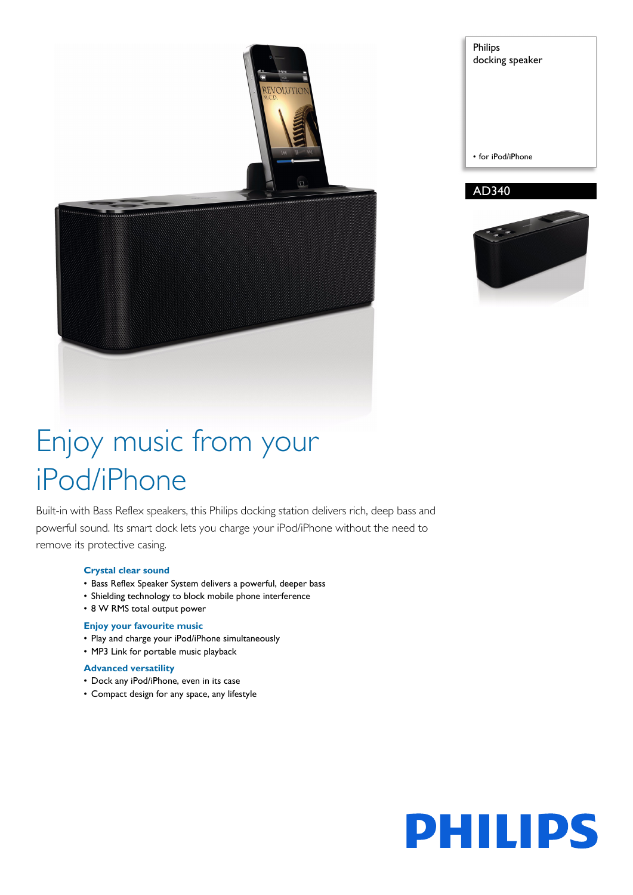

Philips docking speaker • for iPod/iPhone

## AD340



# Enjoy music from your iPod/iPhone

Built-in with Bass Reflex speakers, this Philips docking station delivers rich, deep bass and powerful sound. Its smart dock lets you charge your iPod/iPhone without the need to remove its protective casing.

#### **Crystal clear sound**

- Bass Reflex Speaker System delivers a powerful, deeper bass
- Shielding technology to block mobile phone interference
- 8 W RMS total output power

#### **Enjoy your favourite music**

- Play and charge your iPod/iPhone simultaneously
- MP3 Link for portable music playback

### **Advanced versatility**

- Dock any iPod/iPhone, even in its case
- Compact design for any space, any lifestyle